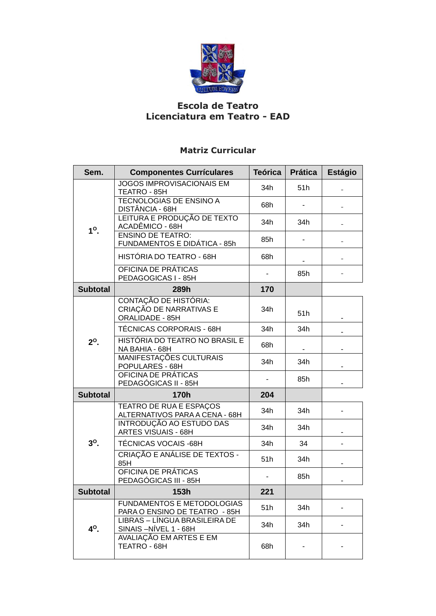

## **Escola de Teatro Licenciatura em Teatro - EAD**

## **Matriz Curricular**

| Sem.             | <b>Componentes Currículares</b>                                     | <b>Teórica</b> | <b>Prática</b> | <b>Estágio</b> |
|------------------|---------------------------------------------------------------------|----------------|----------------|----------------|
| $1^\circ$ .      | <b>JOGOS IMPROVISACIONAIS EM</b><br>TEATRO - 85H                    | 34h            | 51h            |                |
|                  | TECNOLOGIAS DE ENSINO A<br>DISTÂNCIA - 68H                          | 68h            |                |                |
|                  | LEITURA E PRODUÇÃO DE TEXTO<br>ACADÊMICO - 68H                      | 34h            | 34h            |                |
|                  | <b>ENSINO DE TEATRO:</b><br>FUNDAMENTOS E DIDÁTICA - 85h            | 85h            |                |                |
|                  | HISTÓRIA DO TEATRO - 68H                                            | 68h            |                |                |
|                  | OFICINA DE PRÁTICAS<br>PEDAGOGICAS I - 85H                          |                | 85h            |                |
| <b>Subtotal</b>  | 289h                                                                | 170            |                |                |
| $2^{\circ}$ .    | CONTAÇÃO DE HISTÓRIA:<br>CRIAÇÃO DE NARRATIVAS E<br>ORALIDADE - 85H | 34h            | 51h            |                |
|                  | <b>TÉCNICAS CORPORAIS - 68H</b>                                     | 34h            | 34h            |                |
|                  | HISTÓRIA DO TEATRO NO BRASIL E<br>NA BAHIA - 68H                    | 68h            |                |                |
|                  | MANIFESTAÇÕES CULTURAIS<br>POPULARES - 68H                          | 34h            | 34h            |                |
|                  | OFICINA DE PRÁTICAS<br>PEDAGÓGICAS II - 85H                         |                | 85h            |                |
| <b>Subtotal</b>  | 170h                                                                | 204            |                |                |
| $3o$ .           | TEATRO DE RUA E ESPAÇOS<br>ALTERNATIVOS PARA A CENA - 68H           | 34h            | 34h            |                |
|                  | INTRODUÇÃO AO ESTUDO DAS<br><b>ARTES VISUAIS - 68H</b>              | 34h            | 34h            |                |
|                  | <b>TÉCNICAS VOCAIS -68H</b>                                         | 34h            | 34             |                |
|                  | CRIAÇÃO E ANÁLISE DE TEXTOS -<br>85H                                | 51h            | 34h            |                |
|                  | OFICINA DE PRÁTICAS<br>PEDAGÓGICAS III - 85H                        |                | 85h            |                |
| <b>Subtotal</b>  | 153h                                                                | 221            |                |                |
| 4 <sup>o</sup> . | <b>FUNDAMENTOS E METODOLOGIAS</b><br>PARA O ENSINO DE TEATRO - 85H  | 51h            | 34h            |                |
|                  | LIBRAS - LÍNGUA BRASILEIRA DE<br>SINAIS-NÍVEL 1 - 68H               | 34h            | 34h            |                |
|                  | AVALIAÇÃO EM ARTES E EM<br>TEATRO - 68H                             | 68h            |                |                |